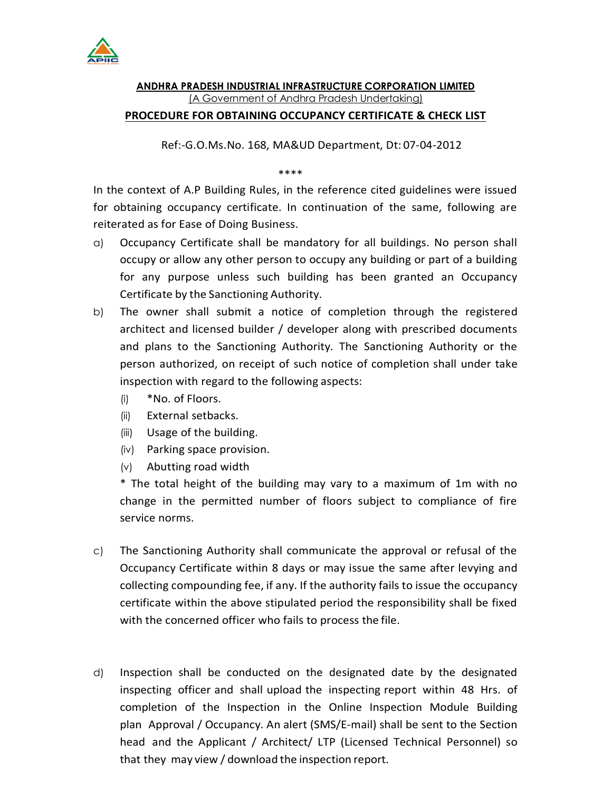

**ANDHRA PRADESH INDUSTRIAL INFRASTRUCTURE CORPORATION LIMITED** (A Government of Andhra Pradesh Undertaking) **PROCEDURE FOR OBTAINING OCCUPANCY CERTIFICATE & CHECK LIST**

Ref:-G.O.Ms.No. 168, MA&UD Department, Dt: 07-04-2012

## \*\*\*\*

In the context of A.P Building Rules, in the reference cited guidelines were issued for obtaining occupancy certificate. In continuation of the same, following are reiterated as for Ease of Doing Business.

- a) Occupancy Certificate shall be mandatory for all buildings. No person shall occupy or allow any other person to occupy any building or part of a building for any purpose unless such building has been granted an Occupancy Certificate by the Sanctioning Authority.
- b) The owner shall submit a notice of completion through the registered architect and licensed builder / developer along with prescribed documents and plans to the Sanctioning Authority. The Sanctioning Authority or the person authorized, on receipt of such notice of completion shall under take inspection with regard to the following aspects:
	- (i) \*No. of Floors.
	- (ii) External setbacks.
	- (iii) Usage of the building.
	- (iv) Parking space provision.
	- (v) Abutting road width

\* The total height of the building may vary to a maximum of 1m with no change in the permitted number of floors subject to compliance of fire service norms.

- c) The Sanctioning Authority shall communicate the approval or refusal of the Occupancy Certificate within 8 days or may issue the same after levying and collecting compounding fee, if any. If the authority fails to issue the occupancy certificate within the above stipulated period the responsibility shall be fixed with the concerned officer who fails to process the file.
- d) Inspection shall be conducted on the designated date by the designated inspecting officer and shall upload the inspecting report within 48 Hrs. of completion of the Inspection in the Online Inspection Module Building plan Approval / Occupancy. An alert (SMS/E-mail) shall be sent to the Section head and the Applicant / Architect/ LTP (Licensed Technical Personnel) so that they may view / download the inspection report.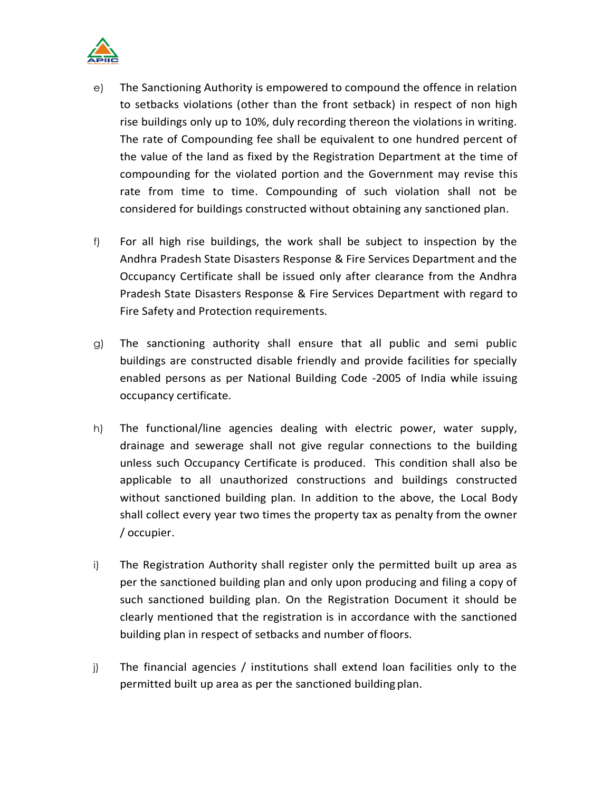

- e) The Sanctioning Authority is empowered to compound the offence in relation to setbacks violations (other than the front setback) in respect of non high rise buildings only up to 10%, duly recording thereon the violations in writing. The rate of Compounding fee shall be equivalent to one hundred percent of the value of the land as fixed by the Registration Department at the time of compounding for the violated portion and the Government may revise this rate from time to time. Compounding of such violation shall not be considered for buildings constructed without obtaining any sanctioned plan.
- f) For all high rise buildings, the work shall be subject to inspection by the Andhra Pradesh State Disasters Response & Fire Services Department and the Occupancy Certificate shall be issued only after clearance from the Andhra Pradesh State Disasters Response & Fire Services Department with regard to Fire Safety and Protection requirements.
- g) The sanctioning authority shall ensure that all public and semi public buildings are constructed disable friendly and provide facilities for specially enabled persons as per National Building Code -2005 of India while issuing occupancy certificate.
- h) The functional/line agencies dealing with electric power, water supply, drainage and sewerage shall not give regular connections to the building unless such Occupancy Certificate is produced. This condition shall also be applicable to all unauthorized constructions and buildings constructed without sanctioned building plan. In addition to the above, the Local Body shall collect every year two times the property tax as penalty from the owner / occupier.
- i) The Registration Authority shall register only the permitted built up area as per the sanctioned building plan and only upon producing and filing a copy of such sanctioned building plan. On the Registration Document it should be clearly mentioned that the registration is in accordance with the sanctioned building plan in respect of setbacks and number of floors.
- j) The financial agencies / institutions shall extend loan facilities only to the permitted built up area as per the sanctioned building plan.